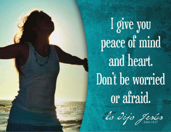I give you peace of mind and heart. Don't be worried or afraid.

lo dijo Jesús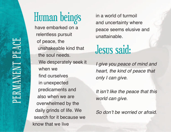## Human beings

have embarked on a relentless pursuit of peace, the unshakeable kind that the soul needs. We desperately seek it when we find ourselves in unexpected predicaments and also when we are overwhelmed by the daily grinds of life. We search for it because we know that we live

in a world of turmoil and uncertainty where peace seems elusive and unattainable.

## Jesus said:

I give you peace of mind and heart, the kind of peace that only I can give.

It isn't like the peace that this world can give.

So don't be worried or afraid.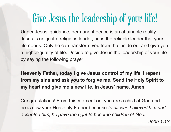## Give Jesus the leadership of your life!

Under Jesus' guidance, permanent peace is an attainable reality. Jesus is not just a religious leader, he is the reliable leader that your life needs. Only he can transform you from the inside out and give you a higher-quality of life. Decide to give Jesus the leadership of your life by saying the following prayer:

**Heavenly Father, today I give Jesus control of my life. I repent from my sins and ask you to forgive me. Send the Holy Spirit to my heart and give me a new life. In Jesus' name. Amen.**

Congratulations! From this moment on, you are a child of God and he is now your Heavenly Father because to all who believed him and accepted him, he gave the right to become children of God.

John 1:12